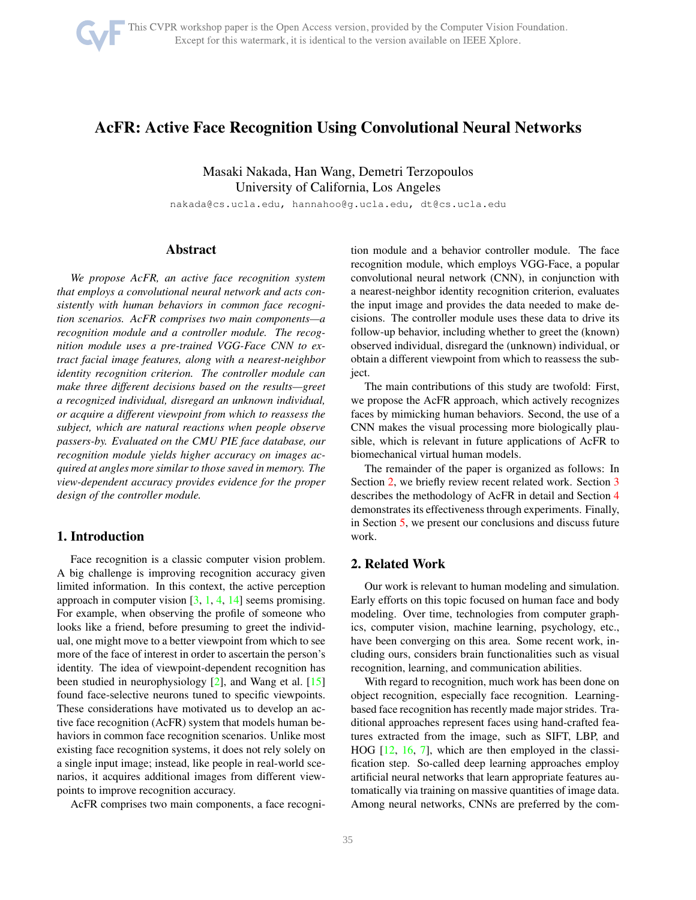# <span id="page-0-1"></span>AcFR: Active Face Recognition Using Convolutional Neural Networks

# Masaki Nakada, Han Wang, Demetri Terzopoulos University of California, Los Angeles

nakada@cs.ucla.edu, hannahoo@g.ucla.edu, dt@cs.ucla.edu

# Abstract

*We propose AcFR, an active face recognition system that employs a convolutional neural network and acts consistently with human behaviors in common face recognition scenarios. AcFR comprises two main components—a recognition module and a controller module. The recognition module uses a pre-trained VGG-Face CNN to extract facial image features, along with a nearest-neighbor identity recognition criterion. The controller module can make three different decisions based on the results—greet a recognized individual, disregard an unknown individual, or acquire a different viewpoint from which to reassess the subject, which are natural reactions when people observe passers-by. Evaluated on the CMU PIE face database, our recognition module yields higher accuracy on images acquired at angles more similar to those saved in memory. The view-dependent accuracy provides evidence for the proper design of the controller module.*

# 1. Introduction

Face recognition is a classic computer vision problem. A big challenge is improving recognition accuracy given limited information. In this context, the active perception approach in computer vision  $[3, 1, 4, 14]$  $[3, 1, 4, 14]$  $[3, 1, 4, 14]$  $[3, 1, 4, 14]$  $[3, 1, 4, 14]$  $[3, 1, 4, 14]$  seems promising. For example, when observing the profile of someone who looks like a friend, before presuming to greet the individual, one might move to a better viewpoint from which to see more of the face of interest in order to ascertain the person's identity. The idea of viewpoint-dependent recognition has been studied in neurophysiology [\[2\]](#page-4-3), and Wang et al. [\[15\]](#page-5-1) found face-selective neurons tuned to specific viewpoints. These considerations have motivated us to develop an active face recognition (AcFR) system that models human behaviors in common face recognition scenarios. Unlike most existing face recognition systems, it does not rely solely on a single input image; instead, like people in real-world scenarios, it acquires additional images from different viewpoints to improve recognition accuracy.

AcFR comprises two main components, a face recogni-

tion module and a behavior controller module. The face recognition module, which employs VGG-Face, a popular convolutional neural network (CNN), in conjunction with a nearest-neighbor identity recognition criterion, evaluates the input image and provides the data needed to make decisions. The controller module uses these data to drive its follow-up behavior, including whether to greet the (known) observed individual, disregard the (unknown) individual, or obtain a different viewpoint from which to reassess the subject.

The main contributions of this study are twofold: First, we propose the AcFR approach, which actively recognizes faces by mimicking human behaviors. Second, the use of a CNN makes the visual processing more biologically plausible, which is relevant in future applications of AcFR to biomechanical virtual human models.

The remainder of the paper is organized as follows: In Section [2,](#page-0-0) we briefly review recent related work. Section [3](#page-1-0) describes the methodology of AcFR in detail and Section [4](#page-2-0) demonstrates its effectiveness through experiments. Finally, in Section [5,](#page-4-4) we present our conclusions and discuss future work.

# <span id="page-0-0"></span>2. Related Work

Our work is relevant to human modeling and simulation. Early efforts on this topic focused on human face and body modeling. Over time, technologies from computer graphics, computer vision, machine learning, psychology, etc., have been converging on this area. Some recent work, including ours, considers brain functionalities such as visual recognition, learning, and communication abilities.

With regard to recognition, much work has been done on object recognition, especially face recognition. Learningbased face recognition has recently made major strides. Traditional approaches represent faces using hand-crafted features extracted from the image, such as SIFT, LBP, and HOG [\[12,](#page-5-2) [16,](#page-5-3) [7\]](#page-5-4), which are then employed in the classification step. So-called deep learning approaches employ artificial neural networks that learn appropriate features automatically via training on massive quantities of image data. Among neural networks, CNNs are preferred by the com-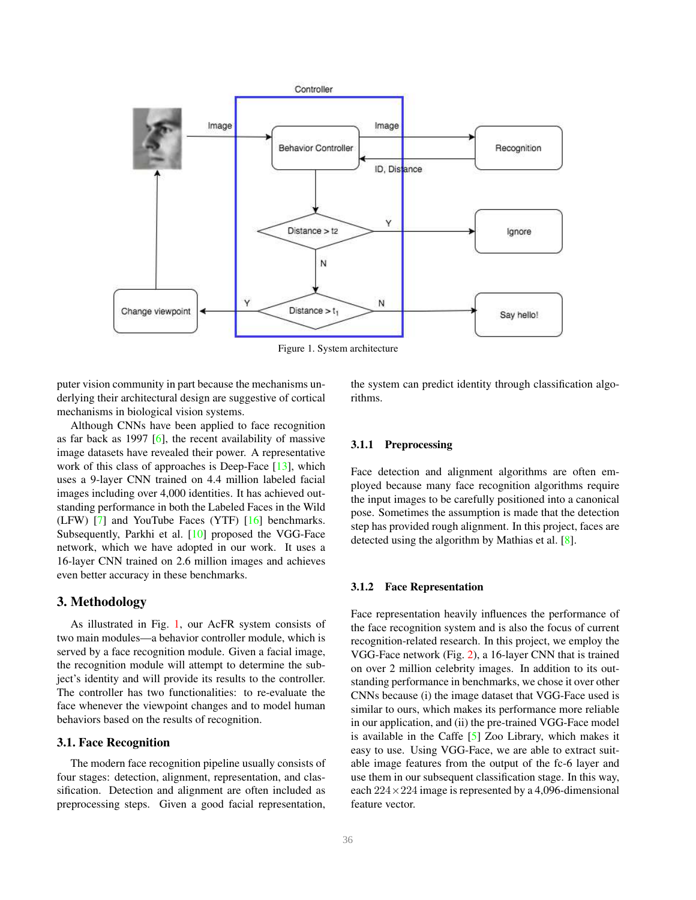<span id="page-1-2"></span>

<span id="page-1-1"></span>Figure 1. System architecture

puter vision community in part because the mechanisms underlying their architectural design are suggestive of cortical mechanisms in biological vision systems.

Although CNNs have been applied to face recognition as far back as 1997 [\[6\]](#page-5-5), the recent availability of massive image datasets have revealed their power. A representative work of this class of approaches is Deep-Face [\[13\]](#page-5-6), which uses a 9-layer CNN trained on 4.4 million labeled facial images including over 4,000 identities. It has achieved outstanding performance in both the Labeled Faces in the Wild (LFW) [\[7\]](#page-5-4) and YouTube Faces (YTF) [\[16\]](#page-5-3) benchmarks. Subsequently, Parkhi et al. [\[10\]](#page-5-7) proposed the VGG-Face network, which we have adopted in our work. It uses a 16-layer CNN trained on 2.6 million images and achieves even better accuracy in these benchmarks.

### <span id="page-1-0"></span>3. Methodology

As illustrated in Fig. [1,](#page-1-1) our AcFR system consists of two main modules—a behavior controller module, which is served by a face recognition module. Given a facial image, the recognition module will attempt to determine the subject's identity and will provide its results to the controller. The controller has two functionalities: to re-evaluate the face whenever the viewpoint changes and to model human behaviors based on the results of recognition.

## 3.1. Face Recognition

The modern face recognition pipeline usually consists of four stages: detection, alignment, representation, and classification. Detection and alignment are often included as preprocessing steps. Given a good facial representation,

the system can predict identity through classification algorithms.

#### 3.1.1 Preprocessing

Face detection and alignment algorithms are often employed because many face recognition algorithms require the input images to be carefully positioned into a canonical pose. Sometimes the assumption is made that the detection step has provided rough alignment. In this project, faces are detected using the algorithm by Mathias et al. [\[8\]](#page-5-8).

#### 3.1.2 Face Representation

Face representation heavily influences the performance of the face recognition system and is also the focus of current recognition-related research. In this project, we employ the VGG-Face network (Fig. [2\)](#page-2-1), a 16-layer CNN that is trained on over 2 million celebrity images. In addition to its outstanding performance in benchmarks, we chose it over other CNNs because (i) the image dataset that VGG-Face used is similar to ours, which makes its performance more reliable in our application, and (ii) the pre-trained VGG-Face model is available in the Caffe [\[5\]](#page-4-5) Zoo Library, which makes it easy to use. Using VGG-Face, we are able to extract suitable image features from the output of the fc-6 layer and use them in our subsequent classification stage. In this way, each  $224 \times 224$  image is represented by a 4,096-dimensional feature vector.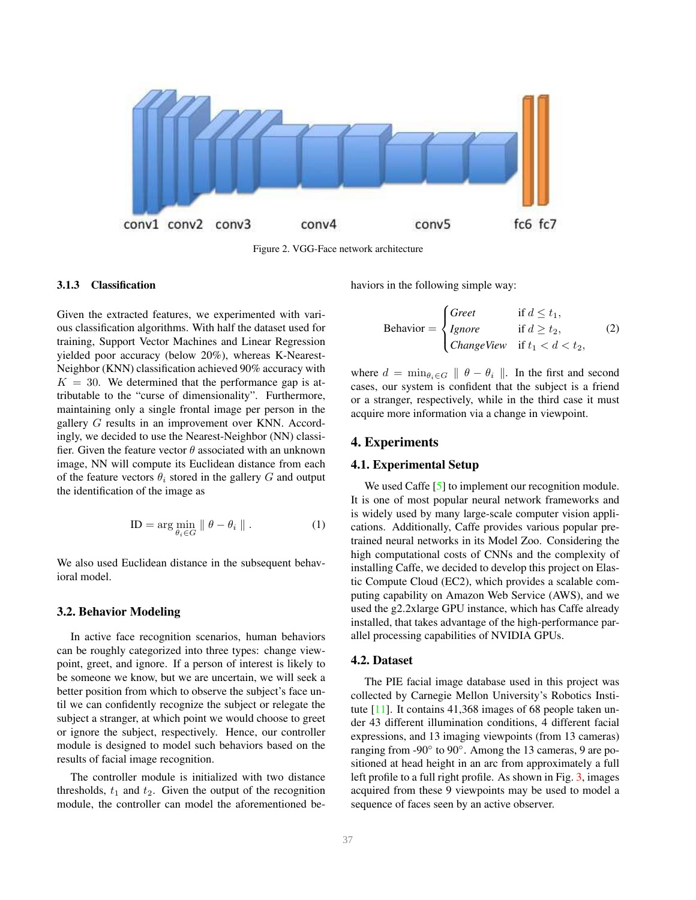<span id="page-2-2"></span>

<span id="page-2-1"></span>Figure 2. VGG-Face network architecture

#### 3.1.3 Classification

Given the extracted features, we experimented with various classification algorithms. With half the dataset used for training, Support Vector Machines and Linear Regression yielded poor accuracy (below 20%), whereas K-Nearest-Neighbor (KNN) classification achieved 90% accuracy with  $K = 30$ . We determined that the performance gap is attributable to the "curse of dimensionality". Furthermore, maintaining only a single frontal image per person in the gallery G results in an improvement over KNN. Accordingly, we decided to use the Nearest-Neighbor (NN) classifier. Given the feature vector  $\theta$  associated with an unknown image, NN will compute its Euclidean distance from each of the feature vectors  $\theta_i$  stored in the gallery G and output the identification of the image as

$$
ID = \arg\min_{\theta_i \in G} \|\theta - \theta_i\|.
$$
 (1)

We also used Euclidean distance in the subsequent behavioral model.

## 3.2. Behavior Modeling

In active face recognition scenarios, human behaviors can be roughly categorized into three types: change viewpoint, greet, and ignore. If a person of interest is likely to be someone we know, but we are uncertain, we will seek a better position from which to observe the subject's face until we can confidently recognize the subject or relegate the subject a stranger, at which point we would choose to greet or ignore the subject, respectively. Hence, our controller module is designed to model such behaviors based on the results of facial image recognition.

The controller module is initialized with two distance thresholds,  $t_1$  and  $t_2$ . Given the output of the recognition module, the controller can model the aforementioned behaviors in the following simple way:

$$
Behavior = \begin{cases} \text{Greet} & \text{if } d \le t_1, \\ \text{Igmore} & \text{if } d \ge t_2, \\ \text{ChangeView} & \text{if } t_1 < d < t_2, \end{cases} \tag{2}
$$

where  $d = \min_{\theta_i \in G} || \theta - \theta_i ||$ . In the first and second cases, our system is confident that the subject is a friend or a stranger, respectively, while in the third case it must acquire more information via a change in viewpoint.

## <span id="page-2-0"></span>4. Experiments

#### 4.1. Experimental Setup

We used Caffe [\[5\]](#page-4-5) to implement our recognition module. It is one of most popular neural network frameworks and is widely used by many large-scale computer vision applications. Additionally, Caffe provides various popular pretrained neural networks in its Model Zoo. Considering the high computational costs of CNNs and the complexity of installing Caffe, we decided to develop this project on Elastic Compute Cloud (EC2), which provides a scalable computing capability on Amazon Web Service (AWS), and we used the g2.2xlarge GPU instance, which has Caffe already installed, that takes advantage of the high-performance parallel processing capabilities of NVIDIA GPUs.

#### 4.2. Dataset

The PIE facial image database used in this project was collected by Carnegie Mellon University's Robotics Institute [\[11\]](#page-5-9). It contains 41,368 images of 68 people taken under 43 different illumination conditions, 4 different facial expressions, and 13 imaging viewpoints (from 13 cameras) ranging from -90◦ to 90◦ . Among the 13 cameras, 9 are positioned at head height in an arc from approximately a full left profile to a full right profile. As shown in Fig. [3,](#page-3-0) images acquired from these 9 viewpoints may be used to model a sequence of faces seen by an active observer.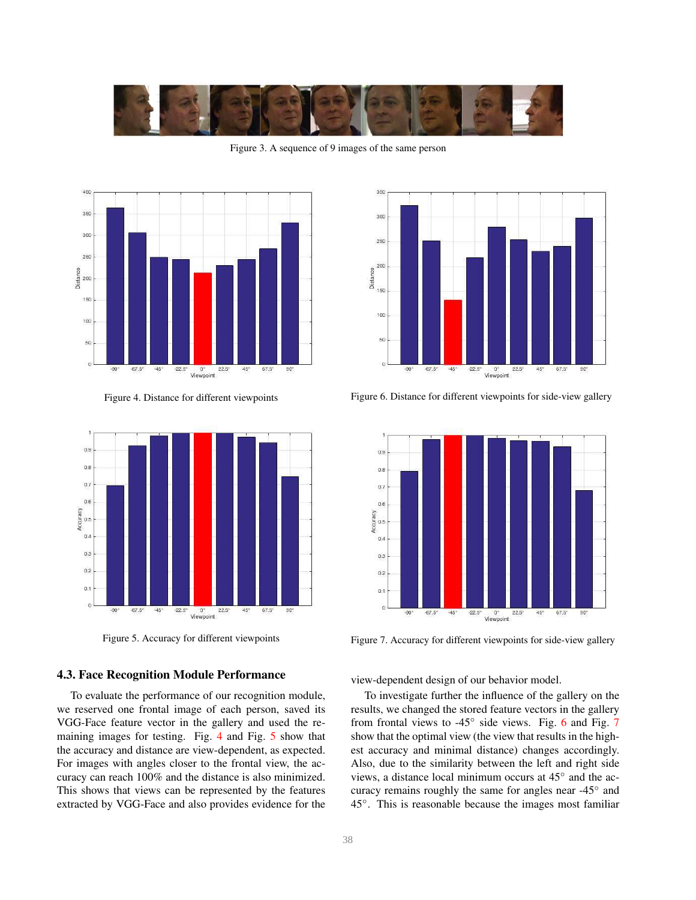

Figure 3. A sequence of 9 images of the same person



<span id="page-3-1"></span>Figure 4. Distance for different viewpoints



<span id="page-3-2"></span>Figure 5. Accuracy for different viewpoints

## 4.3. Face Recognition Module Performance

To evaluate the performance of our recognition module, we reserved one frontal image of each person, saved its VGG-Face feature vector in the gallery and used the remaining images for testing. Fig. [4](#page-3-1) and Fig. [5](#page-3-2) show that the accuracy and distance are view-dependent, as expected. For images with angles closer to the frontal view, the accuracy can reach 100% and the distance is also minimized. This shows that views can be represented by the features extracted by VGG-Face and also provides evidence for the

<span id="page-3-0"></span>

<span id="page-3-3"></span>Figure 6. Distance for different viewpoints for side-view gallery



<span id="page-3-4"></span>Figure 7. Accuracy for different viewpoints for side-view gallery

view-dependent design of our behavior model.

To investigate further the influence of the gallery on the results, we changed the stored feature vectors in the gallery from frontal views to -45 $\degree$  side views. Fig. [6](#page-3-3) and Fig. [7](#page-3-4) show that the optimal view (the view that results in the highest accuracy and minimal distance) changes accordingly. Also, due to the similarity between the left and right side views, a distance local minimum occurs at 45◦ and the accuracy remains roughly the same for angles near -45◦ and 45◦ . This is reasonable because the images most familiar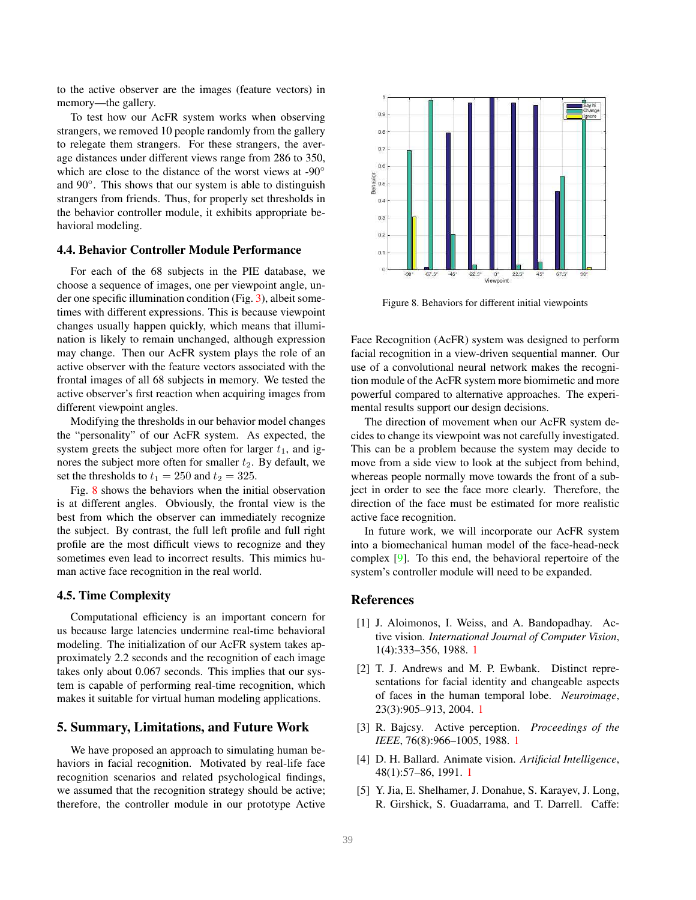<span id="page-4-7"></span>to the active observer are the images (feature vectors) in memory—the gallery.

To test how our AcFR system works when observing strangers, we removed 10 people randomly from the gallery to relegate them strangers. For these strangers, the average distances under different views range from 286 to 350, which are close to the distance of the worst views at -90° and 90°. This shows that our system is able to distinguish strangers from friends. Thus, for properly set thresholds in the behavior controller module, it exhibits appropriate behavioral modeling.

## 4.4. Behavior Controller Module Performance

For each of the 68 subjects in the PIE database, we choose a sequence of images, one per viewpoint angle, under one specific illumination condition (Fig. [3\)](#page-3-0), albeit sometimes with different expressions. This is because viewpoint changes usually happen quickly, which means that illumination is likely to remain unchanged, although expression may change. Then our AcFR system plays the role of an active observer with the feature vectors associated with the frontal images of all 68 subjects in memory. We tested the active observer's first reaction when acquiring images from different viewpoint angles.

Modifying the thresholds in our behavior model changes the "personality" of our AcFR system. As expected, the system greets the subject more often for larger  $t_1$ , and ignores the subject more often for smaller  $t_2$ . By default, we set the thresholds to  $t_1 = 250$  and  $t_2 = 325$ .

Fig. [8](#page-4-6) shows the behaviors when the initial observation is at different angles. Obviously, the frontal view is the best from which the observer can immediately recognize the subject. By contrast, the full left profile and full right profile are the most difficult views to recognize and they sometimes even lead to incorrect results. This mimics human active face recognition in the real world.

#### 4.5. Time Complexity

Computational efficiency is an important concern for us because large latencies undermine real-time behavioral modeling. The initialization of our AcFR system takes approximately 2.2 seconds and the recognition of each image takes only about 0.067 seconds. This implies that our system is capable of performing real-time recognition, which makes it suitable for virtual human modeling applications.

## <span id="page-4-4"></span>5. Summary, Limitations, and Future Work

We have proposed an approach to simulating human behaviors in facial recognition. Motivated by real-life face recognition scenarios and related psychological findings, we assumed that the recognition strategy should be active; therefore, the controller module in our prototype Active



<span id="page-4-6"></span>Figure 8. Behaviors for different initial viewpoints

Face Recognition (AcFR) system was designed to perform facial recognition in a view-driven sequential manner. Our use of a convolutional neural network makes the recognition module of the AcFR system more biomimetic and more powerful compared to alternative approaches. The experimental results support our design decisions.

The direction of movement when our AcFR system decides to change its viewpoint was not carefully investigated. This can be a problem because the system may decide to move from a side view to look at the subject from behind, whereas people normally move towards the front of a subject in order to see the face more clearly. Therefore, the direction of the face must be estimated for more realistic active face recognition.

In future work, we will incorporate our AcFR system into a biomechanical human model of the face-head-neck complex [\[9\]](#page-5-10). To this end, the behavioral repertoire of the system's controller module will need to be expanded.

## References

- <span id="page-4-1"></span>[1] J. Aloimonos, I. Weiss, and A. Bandopadhay. Active vision. *International Journal of Computer Vision*, 1(4):333–356, 1988. [1](#page-0-1)
- <span id="page-4-3"></span>[2] T. J. Andrews and M. P. Ewbank. Distinct representations for facial identity and changeable aspects of faces in the human temporal lobe. *Neuroimage*, 23(3):905–913, 2004. [1](#page-0-1)
- <span id="page-4-0"></span>[3] R. Bajcsy. Active perception. *Proceedings of the IEEE*, 76(8):966–1005, 1988. [1](#page-0-1)
- <span id="page-4-2"></span>[4] D. H. Ballard. Animate vision. *Artificial Intelligence*, 48(1):57–86, 1991. [1](#page-0-1)
- <span id="page-4-5"></span>[5] Y. Jia, E. Shelhamer, J. Donahue, S. Karayev, J. Long, R. Girshick, S. Guadarrama, and T. Darrell. Caffe: